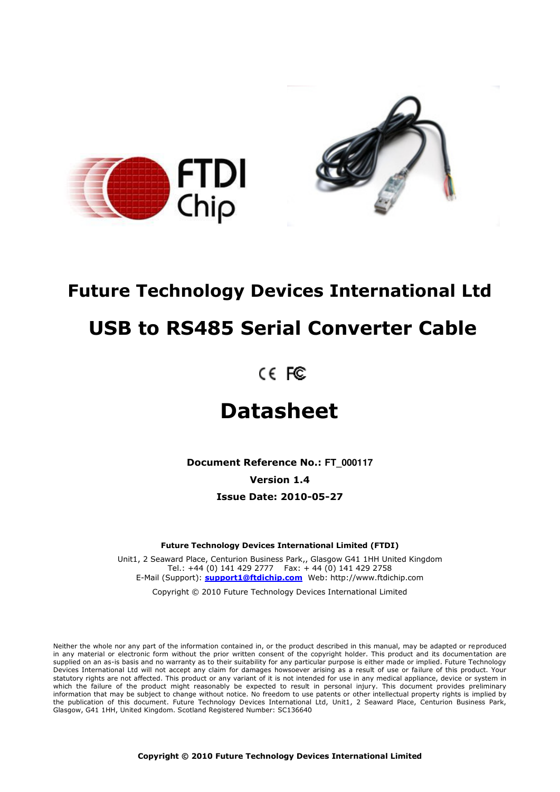

# **Future Technology Devices International Ltd**

# **USB to RS485 Serial Converter Cable**

# **Datasheet**

**Document Reference No.: FT\_000117 Version 1.4 Issue Date: 2010-05-27** 

**Future Technology Devices International Limited (FTDI)** 

Unit1, 2 Seaward Place, Centurion Business Park,, Glasgow G41 1HH United Kingdom Tel.: +44 (0) 141 429 2777 Fax: + 44 (0) 141 429 2758 E-Mail (Support): **support1@ftdichip.com** Web: http://www.ftdichip.com

Copyright © 2010 Future Technology Devices International Limited

Neither the whole nor any part of the information contained in, or the product described in this manual, may be adapted or reproduced in any material or electronic form without the prior written consent of the copyright holder. This product and its documentation are supplied on an as-is basis and no warranty as to their suitability for any particular purpose is either made or implied. Future Technology Devices International Ltd will not accept any claim for damages howsoever arising as a result of use or failure of this product. Your statutory rights are not affected. This product or any variant of it is not intended for use in any medical appliance, device or system in which the failure of the product might reasonably be expected to result in personal injury. This document provides preliminary information that may be subject to change without notice. No freedom to use patents or other intellectual property rights is implied by the publication of this document. Future Technology Devices International Ltd, Unit1, 2 Seaward Place, Centurion Business Park, Glasgow, G41 1HH, United Kingdom. Scotland Registered Number: SC136640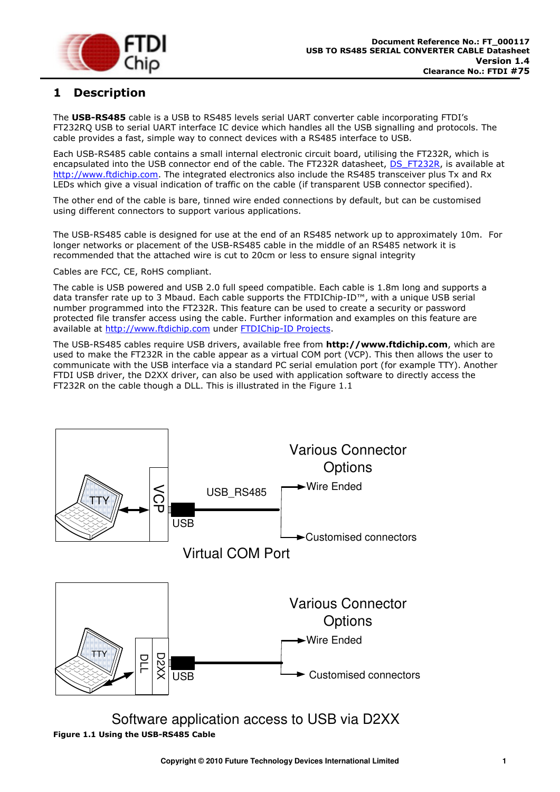

# <span id="page-1-1"></span>**1 Description**

The **USB-RS485** cable is a USB to RS485 levels serial UART converter cable incorporating FTDI"s FT232RQ USB to serial UART interface IC device which handles all the USB signalling and protocols. The cable provides a fast, simple way to connect devices with a RS485 interface to USB.

Each USB-RS485 cable contains a small internal electronic circuit board, utilising the FT232R, which is encapsulated into the USB connector end of the cable. The FT232R datasheet, [DS\\_FT232R,](http://www.ftdichip.com/Documents/DataSheets/DS_FT232R.pdf) is available at [http://www.ftdichip.com.](http://www.ftdichip.com/) The integrated electronics also include the RS485 transceiver plus Tx and Rx LEDs which give a visual indication of traffic on the cable (if transparent USB connector specified).

The other end of the cable is bare, tinned wire ended connections by default, but can be customised using different connectors to support various applications.

The USB-RS485 cable is designed for use at the end of an RS485 network up to approximately 10m. For longer networks or placement of the USB-RS485 cable in the middle of an RS485 network it is recommended that the attached wire is cut to 20cm or less to ensure signal integrity

Cables are FCC, CE, RoHS compliant.

The cable is USB powered and USB 2.0 full speed compatible. Each cable is 1.8m long and supports a data transfer rate up to 3 Mbaud. Each cable supports the FTDIChip-ID™, with a unique USB serial number programmed into the FT232R. This feature can be used to create a security or password protected file transfer access using the cable. Further information and examples on this feature are available at [http://www.ftdichip.com](http://www.ftdichip.com/) under [FTDIChip-ID Projects.](http://www.ftdichip.com/Projects/FTDIChip-ID.htm)

The USB-RS485 cables require USB drivers, available free from **[http://www.ftdichip.com](http://www.ftdichip.com/)**, which are used to make the FT232R in the cable appear as a virtual COM port (VCP). This then allows the user to communicate with the USB interface via a standard PC serial emulation port (for example TTY). Another FTDI USB driver, the D2XX driver, can also be used with application software to directly access the FT232R on the cable though a DLL. This is illustrated in the [Figure 1.1](#page-1-0) 



<span id="page-1-0"></span>Software application access to USB via D2XX **Figure 1.1 Using the USB-RS485 Cable**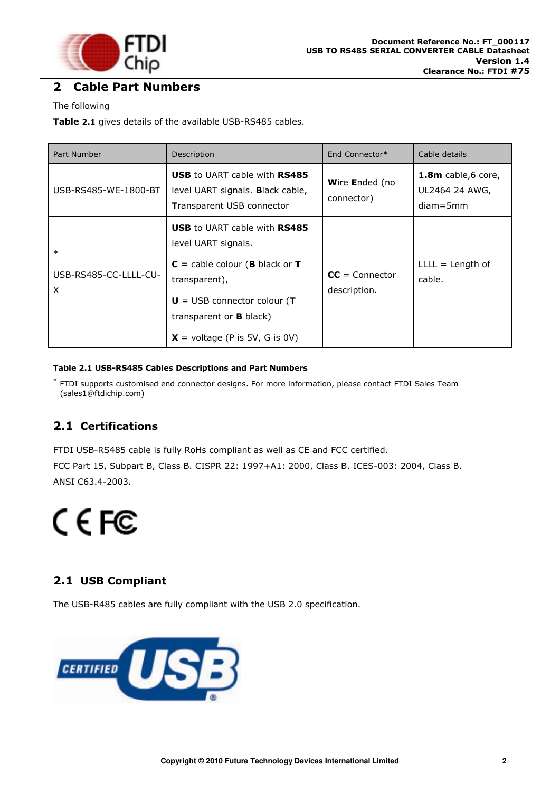![](_page_2_Picture_0.jpeg)

## <span id="page-2-1"></span>**2 Cable Part Numbers**

#### The following

**[Table](#page-2-0) 2.1** gives details of the available USB-RS485 cables.

| Part Number                          | Description                                                                                                                                                                                                                           | End Connector*                   | Cable details                                        |
|--------------------------------------|---------------------------------------------------------------------------------------------------------------------------------------------------------------------------------------------------------------------------------------|----------------------------------|------------------------------------------------------|
| USB-RS485-WE-1800-BT                 | <b>USB to UART cable with RS485</b><br>level UART signals. Black cable,<br><b>Transparent USB connector</b>                                                                                                                           | Wire Ended (no<br>connector)     | 1.8m cable,6 core,<br>UL2464 24 AWG,<br>$diam = 5mm$ |
| $\ast$<br>USB-RS485-CC-LLLL-CU-<br>X | <b>USB to UART cable with RS485</b><br>level UART signals.<br>$C =$ cable colour ( <b>B</b> black or <b>T</b><br>transparent),<br>$U = USB$ connector colour (T<br>transparent or <b>B</b> black)<br>$X =$ voltage (P is 5V, G is 0V) | $CC = Connector$<br>description. | $LLLL = Length of$<br>cable.                         |

#### <span id="page-2-5"></span><span id="page-2-0"></span>**Table 2.1 USB-RS485 Cables Descriptions and Part Numbers**

\* FTDI supports customised end connector designs. For more information, please contact [FTDI Sales Team](mailto:sales1@ftdichip.com)  [\(sales1@ftdichip.com\)](mailto:sales1@ftdichip.com)

## <span id="page-2-2"></span>**2.1 Certifications**

FTDI USB-RS485 cable is fully RoHs compliant as well as CE and FCC certified.

FCC Part 15, Subpart B, Class B. CISPR 22: 1997+A1: 2000, Class B. ICES-003: 2004, Class B. ANSI C63.4-2003.

# CEFC

## <span id="page-2-3"></span>**2.1 USB Compliant**

<span id="page-2-4"></span>The USB-R485 cables are fully compliant with the USB 2.0 specification.

![](_page_2_Picture_14.jpeg)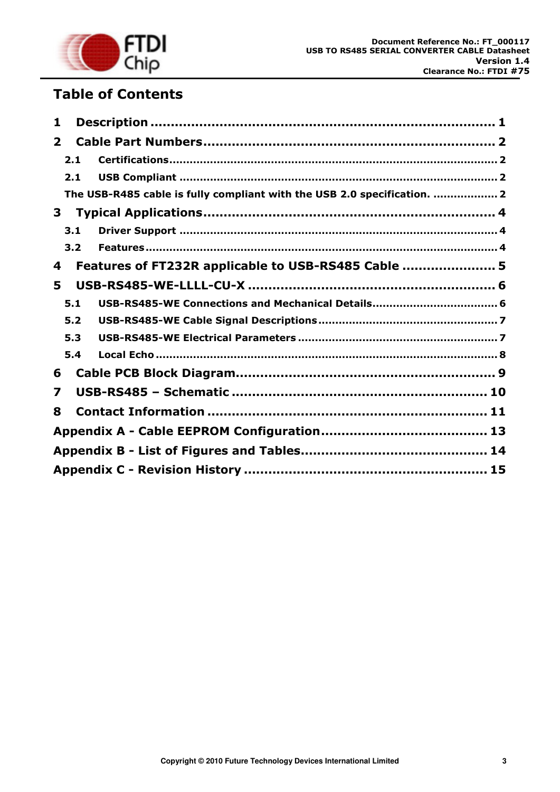![](_page_3_Picture_0.jpeg)

# **Table of Contents**

| 1            |     |                                                                          |  |
|--------------|-----|--------------------------------------------------------------------------|--|
| $\mathbf{2}$ |     |                                                                          |  |
|              | 2.1 |                                                                          |  |
|              | 2.1 |                                                                          |  |
|              |     | The USB-R485 cable is fully compliant with the USB 2.0 specification.  2 |  |
| 3            |     |                                                                          |  |
|              | 3.1 |                                                                          |  |
|              | 3.2 |                                                                          |  |
| 4            |     | Features of FT232R applicable to USB-RS485 Cable  5                      |  |
| 5            |     |                                                                          |  |
|              | 5.1 | USB-RS485-WE Connections and Mechanical Details 6                        |  |
|              | 5.2 |                                                                          |  |
|              | 5.3 |                                                                          |  |
|              | 5.4 |                                                                          |  |
| 6            |     |                                                                          |  |
| 7            |     |                                                                          |  |
| 8            |     |                                                                          |  |
|              |     |                                                                          |  |
|              |     |                                                                          |  |
|              |     |                                                                          |  |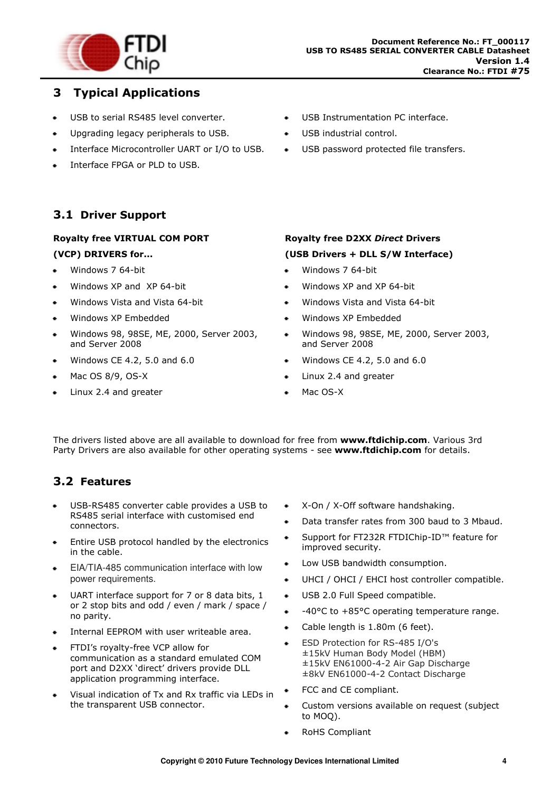![](_page_4_Picture_0.jpeg)

## <span id="page-4-0"></span>**3 Typical Applications**

- USB to serial RS485 level converter.
- Upgrading legacy peripherals to USB.  $\bullet$
- Interface Microcontroller UART or I/O to USB.
- Interface FPGA or PLD to USB.

#### <span id="page-4-1"></span>**3.1 Driver Support**

## **Royalty free VIRTUAL COM PORT (VCP) DRIVERS for...**

- Windows 7 64-bit
- Windows XP and XP 64-bit
- Windows Vista and Vista 64-bit  $\bullet$
- Windows XP Embedded
- Windows 98, 98SE, ME, 2000, Server 2003, ٠ and Server 2008
- Windows CE 4.2, 5.0 and 6.0
- Mac OS 8/9, OS-X  $\bullet$
- Linux 2.4 and greater
- USB Instrumentation PC interface.
- USB industrial control.
- USB password protected file transfers.
- **Royalty free D2XX** *Direct* **Drivers (USB Drivers + DLL S/W Interface)**
- Windows 7 64-bit
- Windows XP and XP 64-bit
- Windows Vista and Vista 64-bit  $\Delta$
- Windows XP Embedded
- Windows 98, 98SE, ME, 2000, Server 2003, and Server 2008
- Windows CE 4.2, 5.0 and 6.0
- Linux 2.4 and greater
- Mac OS-X

The drivers listed above are all available to download for free from **[www.ftdichip.com](http://www.ftdichip.com/)**. Various 3rd Party Drivers are also available for other operating systems - see **[www.ftdichip.com](http://www.ftdichip.com/)** for details.

## <span id="page-4-2"></span>**3.2 Features**

- USB-RS485 converter cable provides a USB to RS485 serial interface with customised end connectors.
- Entire USB protocol handled by the electronics in the cable.
- EIA/TIA-485 communication interface with low power requirements.
- UART interface support for 7 or 8 data bits, 1 or 2 stop bits and odd / even / mark / space / no parity.
- Internal EEPROM with user writeable area.
- FTDI's royalty-free VCP allow for communication as a standard emulated COM port and D2XX 'direct' drivers provide DLL application programming interface.
- Visual indication of Tx and Rx traffic via LEDs in the transparent USB connector.
- X-On / X-Off software handshaking.
- Data transfer rates from 300 baud to 3 Mbaud.  $\hat{\mathbf{r}}$
- Support for FT232R FTDIChip-ID™ feature for  $\bullet$ improved security.
- Low USB bandwidth consumption.  $\bullet$
- UHCI / OHCI / EHCI host controller compatible.
- USB 2.0 Full Speed compatible.  $\hat{\mathbf{r}}$
- -40°C to +85°C operating temperature range.
- Cable length is 1.80m (6 feet).  $\bullet$
- ESD Protection for RS-485 I/O's ±15kV Human Body Model (HBM) ±15kV EN61000-4-2 Air Gap Discharge ±8kV EN61000-4-2 Contact Discharge
- FCC and CE compliant.
- Custom versions available on request (subject to MOQ).
- RoHS Compliant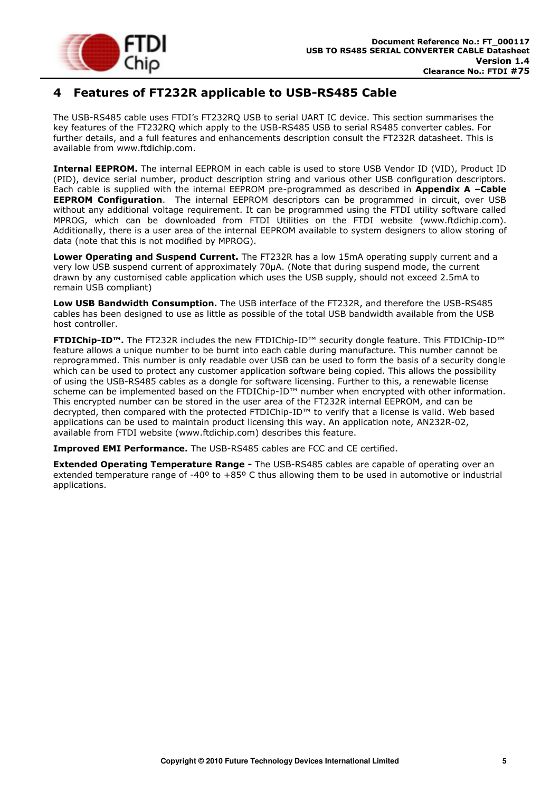![](_page_5_Picture_0.jpeg)

# <span id="page-5-0"></span>**4 Features of FT232R applicable to USB-RS485 Cable**

The USB-RS485 cable uses FTDI"s FT232RQ USB to serial UART IC device. This section summarises the key features of the FT232RQ which apply to the USB-RS485 USB to serial RS485 converter cables. For further details, and a full features and enhancements description consult the FT232R datasheet. This is available from [www.ftdichip.com.](file:///C:/Documents%20and%20Settings/maryam.mohammed/My%20Documents/SharePoint%20Drafts/www.ftdichip.com)

**Internal EEPROM.** The internal EEPROM in each cable is used to store USB Vendor ID (VID), Product ID (PID), device serial number, product description string and various other USB configuration descriptors. Each cable is supplied with the internal EEPROM pre-programmed as described in **Appendix A –Cable EEPROM Configuration**. The internal EEPROM descriptors can be programmed in circuit, over USB without any additional voltage requirement. It can be programmed using the FTDI utility software called MPROG, which can be downloaded from [FTDI Utilities](http://ftdichip.com/Resources/Utilities.htm) on the [FTDI website \(www.ftdichip.com\)](http://www.ftdichip.com/). Additionally, there is a user area of the internal EEPROM available to system designers to allow storing of data (note that this is not modified by MPROG).

**Lower Operating and Suspend Current.** The FT232R has a low 15mA operating supply current and a very low USB suspend current of approximately 70μA. (Note that during suspend mode, the current drawn by any customised cable application which uses the USB supply, should not exceed 2.5mA to remain USB compliant)

**Low USB Bandwidth Consumption.** The USB interface of the FT232R, and therefore the USB-RS485 cables has been designed to use as little as possible of the total USB bandwidth available from the USB host controller.

**FTDIChip-ID™.** The FT232R includes the new FTDIChip-ID™ security dongle feature. This FTDIChip-ID™ feature allows a unique number to be burnt into each cable during manufacture. This number cannot be reprogrammed. This number is only readable over USB can be used to form the basis of a security dongle which can be used to protect any customer application software being copied. This allows the possibility of using the USB-RS485 cables as a dongle for software licensing. Further to this, a renewable license scheme can be implemented based on the FTDIChip-ID™ number when encrypted with other information. This encrypted number can be stored in the user area of the FT232R internal EEPROM, and can be decrypted, then compared with the protected FTDIChip-ID™ to verify that a license is valid. Web based applications can be used to maintain product licensing this way. An application note, [AN232R-02,](http://ftdichip.com/Documents/AppNotes/AN232R-02_FT232RChipID.pdf) available from [FTDI website \(www.ftdichip.com\)](http://www.ftdichip.com/) describes this feature.

**Improved EMI Performance.** The USB-RS485 cables are FCC and CE certified.

**Extended Operating Temperature Range -** The USB-RS485 cables are capable of operating over an extended temperature range of -40º to +85º C thus allowing them to be used in automotive or industrial applications.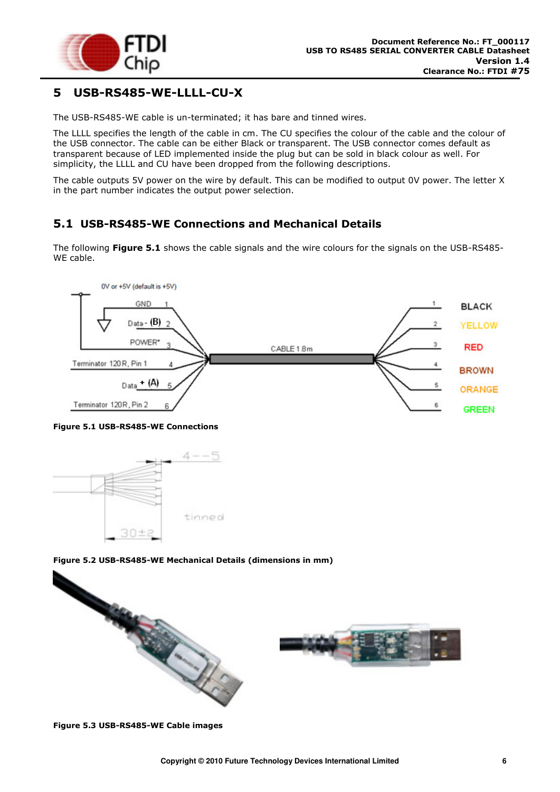![](_page_6_Picture_0.jpeg)

## <span id="page-6-0"></span>**5 USB-RS485-WE-LLLL-CU-X**

The USB-RS485-WE cable is un-terminated; it has bare and tinned wires.

The LLLL specifies the length of the cable in cm. The CU specifies the colour of the cable and the colour of the USB connector. The cable can be either Black or transparent. The USB connector comes default as transparent because of LED implemented inside the plug but can be sold in black colour as well. For simplicity, the LLLL and CU have been dropped from the following descriptions.

The cable outputs 5V power on the wire by default. This can be modified to output 0V power. The letter X in the part number indicates the output power selection.

#### <span id="page-6-1"></span>**5.1 USB-RS485-WE Connections and Mechanical Details**

The following **[Figure 5.1](#page-6-2)** shows the cable signals and the wire colours for the signals on the USB-RS485- WE cable.

![](_page_6_Figure_8.jpeg)

<span id="page-6-2"></span>![](_page_6_Figure_9.jpeg)

![](_page_6_Figure_10.jpeg)

#### <span id="page-6-3"></span>**Figure 5.2 USB-RS485-WE Mechanical Details (dimensions in mm)**

![](_page_6_Figure_12.jpeg)

<span id="page-6-4"></span>**Figure 5.3 USB-RS485-WE Cable images**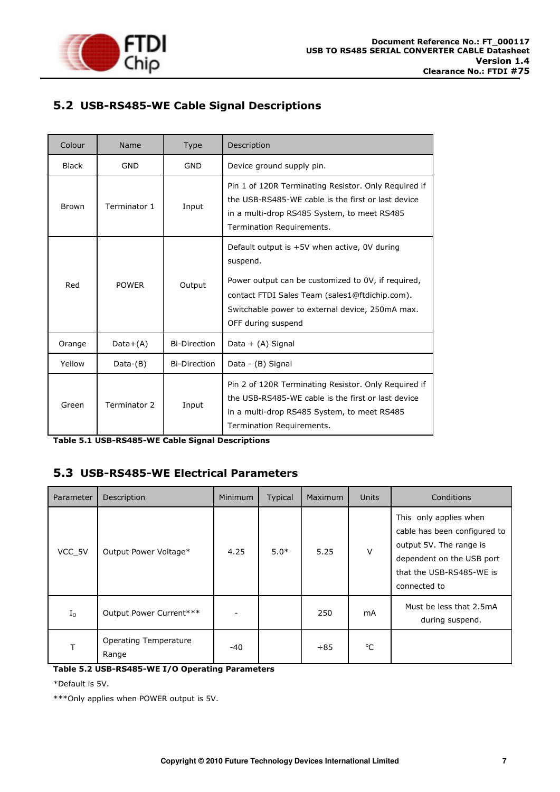![](_page_7_Picture_0.jpeg)

## <span id="page-7-0"></span>**5.2 USB-RS485-WE Cable Signal Descriptions**

| Colour       | Name         | <b>Type</b>         | Description                                                                                                                                                                                                                                 |
|--------------|--------------|---------------------|---------------------------------------------------------------------------------------------------------------------------------------------------------------------------------------------------------------------------------------------|
| <b>Black</b> | <b>GND</b>   | <b>GND</b>          | Device ground supply pin.                                                                                                                                                                                                                   |
| <b>Brown</b> | Terminator 1 | Input               | Pin 1 of 120R Terminating Resistor. Only Required if<br>the USB-RS485-WE cable is the first or last device<br>in a multi-drop RS485 System, to meet RS485<br>Termination Requirements.                                                      |
| Red          | <b>POWER</b> | Output              | Default output is $+5V$ when active, OV during<br>suspend.<br>Power output can be customized to 0V, if required,<br>contact FTDI Sales Team (sales1@ftdichip.com).<br>Switchable power to external device, 250mA max.<br>OFF during suspend |
| Orange       | $Data+(A)$   | <b>Bi-Direction</b> | Data + (A) Signal                                                                                                                                                                                                                           |
| Yellow       | $Data-(B)$   | <b>Bi-Direction</b> | Data - (B) Signal                                                                                                                                                                                                                           |
| Green        | Terminator 2 | Input               | Pin 2 of 120R Terminating Resistor. Only Required if<br>the USB-RS485-WE cable is the first or last device<br>in a multi-drop RS485 System, to meet RS485<br>Termination Requirements.                                                      |

<span id="page-7-2"></span>**Table 5.1 USB-RS485-WE Cable Signal Descriptions** 

#### <span id="page-7-1"></span>**5.3 USB-RS485-WE Electrical Parameters**

| Parameter   | Description                           | Minimum | Typical | Maximum | Units        | Conditions                                                                                                                                                 |
|-------------|---------------------------------------|---------|---------|---------|--------------|------------------------------------------------------------------------------------------------------------------------------------------------------------|
| VCC 5V      | Output Power Voltage*                 | 4.25    | $5.0*$  | 5.25    | $\vee$       | This only applies when<br>cable has been configured to<br>output 5V. The range is<br>dependent on the USB port<br>that the USB-RS485-WE is<br>connected to |
| $I_{\rm O}$ | Output Power Current***               |         |         | 250     | mA           | Must be less that 2.5mA<br>during suspend.                                                                                                                 |
|             | <b>Operating Temperature</b><br>Range | -40     |         | $+85$   | $^{\circ}$ C |                                                                                                                                                            |

<span id="page-7-3"></span>**Table 5.2 USB-RS485-WE I/O Operating Parameters** 

\*Default is 5V.

\*\*\*Only applies when POWER output is 5V.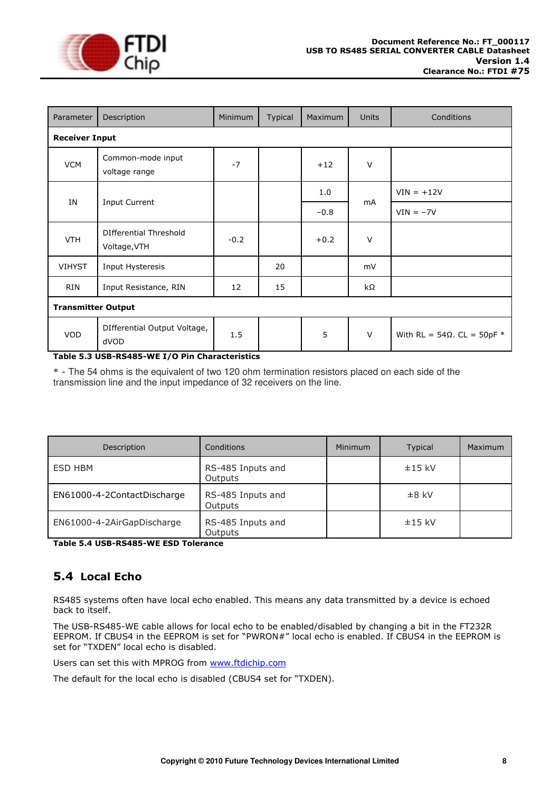![](_page_8_Picture_0.jpeg)

| Parameter                 | Description                                   | Minimum | <b>Typical</b> | Maximum | <b>Units</b> | Conditions                           |  |
|---------------------------|-----------------------------------------------|---------|----------------|---------|--------------|--------------------------------------|--|
|                           | <b>Receiver Input</b>                         |         |                |         |              |                                      |  |
| <b>VCM</b>                | Common-mode input<br>voltage range            | $-7$    |                | $+12$   | $\vee$       |                                      |  |
|                           |                                               |         |                | 1.0     |              | $VIN = +12V$                         |  |
| ΙN<br>Input Current       |                                               |         |                | $-0.8$  | mA           | $VIN = -7V$                          |  |
| <b>VTH</b>                | <b>DIfferential Threshold</b><br>Voltage, VTH | $-0.2$  |                | $+0.2$  | $\vee$       |                                      |  |
| <b>VIHYST</b>             | Input Hysteresis                              |         | 20             |         | mV           |                                      |  |
| <b>RIN</b>                | Input Resistance, RIN                         | 12      | 15             |         | kΩ           |                                      |  |
| <b>Transmitter Output</b> |                                               |         |                |         |              |                                      |  |
| <b>VOD</b>                | DIfferential Output Voltage,<br>dVOD          | 1.5     |                | 5       | $\vee$       | With RL = $54\Omega$ . CL = $50pF$ * |  |

#### <span id="page-8-1"></span>**Table 5.3 USB-RS485-WE I/O Pin Characteristics**

\* - The 54 ohms is the equivalent of two 120 ohm termination resistors placed on each side of the transmission line and the input impedance of 32 receivers on the line.

| Description                 | Conditions                   | <b>Minimum</b> | Typical  | Maximum |
|-----------------------------|------------------------------|----------------|----------|---------|
| ESD HBM                     | RS-485 Inputs and<br>Outputs |                | $±15$ kV |         |
| EN61000-4-2ContactDischarge | RS-485 Inputs and<br>Outputs |                | $±8$ kV  |         |
| EN61000-4-2AirGapDischarge  | RS-485 Inputs and<br>Outputs |                | $±15$ kV |         |

<span id="page-8-2"></span>**Table 5.4 USB-RS485-WE ESD Tolerance** 

## <span id="page-8-0"></span>**5.4 Local Echo**

RS485 systems often have local echo enabled. This means any data transmitted by a device is echoed back to itself.

The USB-RS485-WE cable allows for local echo to be enabled/disabled by changing a bit in the FT232R EEPROM. If CBUS4 in the EEPROM is set for "PWRON#" local echo is enabled. If CBUS4 in the EEPROM is set for "TXDEN" local echo is disabled.

Users can set this with MPROG from [www.ftdichip.com](http://www.ftdichip.com/)

The default for the local echo is disabled (CBUS4 set for "TXDEN).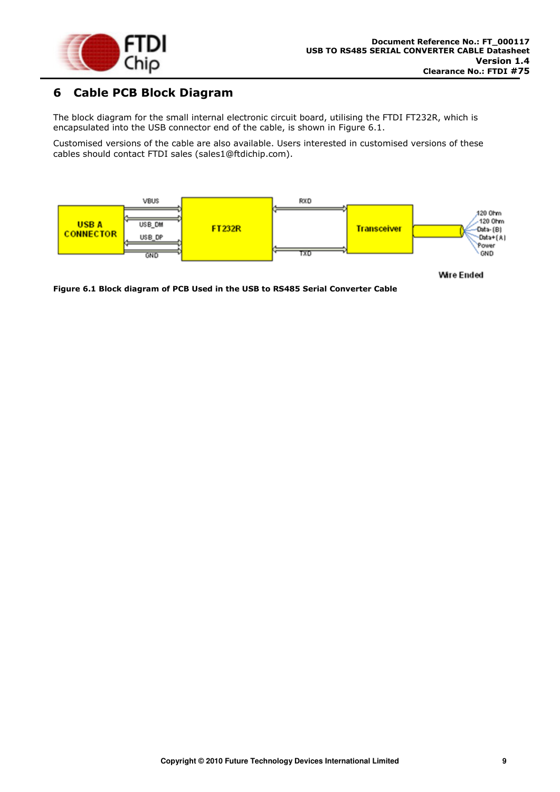![](_page_9_Picture_0.jpeg)

## <span id="page-9-0"></span>**6 Cable PCB Block Diagram**

The block diagram for the small internal electronic circuit board, utilising the FTDI FT232R, which is encapsulated into the USB connector end of the cable, is shown in [Figure 6.1.](#page-9-1)

Customised versions of the cable are also available. Users interested in customised versions of these cables should contact [FTDI sales \(sales1@ftdichip.com\).](mailto:sales1@ftdichip.com)

![](_page_9_Figure_5.jpeg)

**Wire Ended** 

<span id="page-9-1"></span>**Figure 6.1 Block diagram of PCB Used in the USB to RS485 Serial Converter Cable**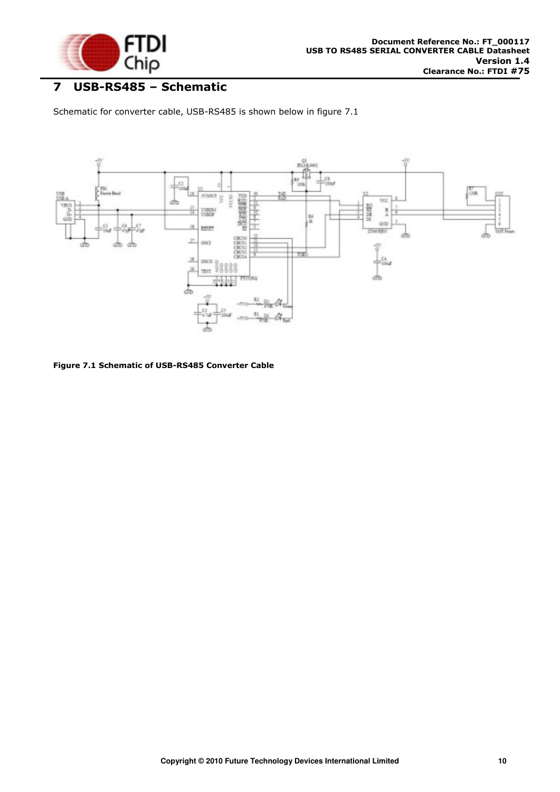![](_page_10_Picture_0.jpeg)

# <span id="page-10-0"></span>**7 USB-RS485 – Schematic**

Schematic for converter cable, USB-RS485 is shown below in figure 7.1

![](_page_10_Figure_4.jpeg)

<span id="page-10-1"></span>**Figure 7.1 Schematic of USB-RS485 Converter Cable**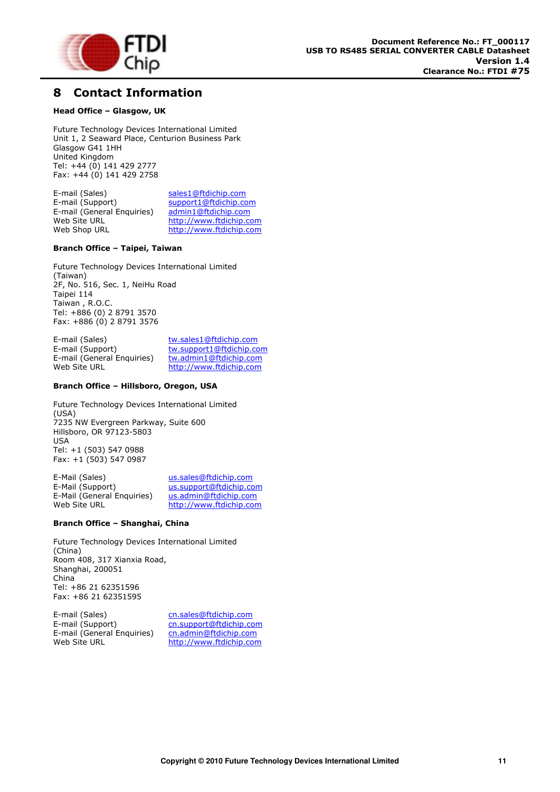![](_page_11_Picture_0.jpeg)

## <span id="page-11-0"></span>**8 Contact Information**

#### **Head Office – Glasgow, UK**

Future Technology Devices International Limited Unit 1, 2 Seaward Place, Centurion Business Park Glasgow G41 1HH United Kingdom Tel: +44 (0) 141 429 2777 Fax: +44 (0) 141 429 2758

E-mail (Sales) [sales1@ftdichip.com](mailto:sales1@ftdichip.com)<br>E-mail (Support) support1@ftdichip.com [support1@ftdichip.com](mailto:support1@ftdichip.com)<br>admin1@ftdichip.com  $E$ -mail (General Enquiries) Web Site URL [http://www.ftdichip.com](http://www.ftdichip.com/)<br>Web Shop URL http://www.ftdichip.com [http://www.ftdichip.com](http://www.ftdichip.com/)

#### **Branch Office – Taipei, Taiwan**

Future Technology Devices International Limited (Taiwan) 2F, No. 516, Sec. 1, NeiHu Road Taipei 114 Taiwan , R.O.C. Tel: +886 (0) 2 8791 3570 Fax: +886 (0) 2 8791 3576

E-mail (Sales) [tw.sales1@ftdichip.com](mailto:tw.sales1@ftdichip.com)<br>
E-mail (Support) tw.support1@ftdichip.com [tw.support1@ftdichip.com](mailto:tw.support1@ftdichip.com) E-mail (General Enquiries) [tw.admin1@ftdichip.com](mailto:tw.admin1@ftdichip.com)<br>Web Site URL http://www.ftdichip.com [http://www.ftdichip.com](http://www.ftdichip.com/)

#### **Branch Office – Hillsboro, Oregon, USA**

Future Technology Devices International Limited (USA) 7235 NW Evergreen Parkway, Suite 600 Hillsboro, OR 97123-5803 USA Tel: +1 (503) 547 0988 Fax: +1 (503) 547 0987

E-Mail (Sales) [us.sales@ftdichip.com](mailto:us.sales@ftdichip.com)<br>E-Mail (Support) us.support@ftdichip.co [us.support@ftdichip.com](mailto:us.support@ftdichip.com) E-Mail (General Enquiries) [us.admin@ftdichip.com](mailto:us.admin@ftdichip.com)<br>Web Site URL http://www.ftdichip.con [http://www.ftdichip.com](http://www.ftdichip.com/)

#### **Branch Office – Shanghai, China**

Future Technology Devices International Limited (China) Room 408, 317 Xianxia Road, Shanghai, 200051 China Tel: +86 21 62351596 Fax: +86 21 62351595

E-mail (Sales) [cn.sales@ftdichip.com](mailto:cn.sales@ftdichip.com) E-mail (Support) [cn.support@ftdichip.com](mailto:cn.support@ftdichip.com)<br>E-mail (General Enquiries) cn.admin@ftdichip.com E-mail (General Enquiries)<br>Web.Site.URI

[http://www.ftdichip.com](http://www.ftdichip.com/)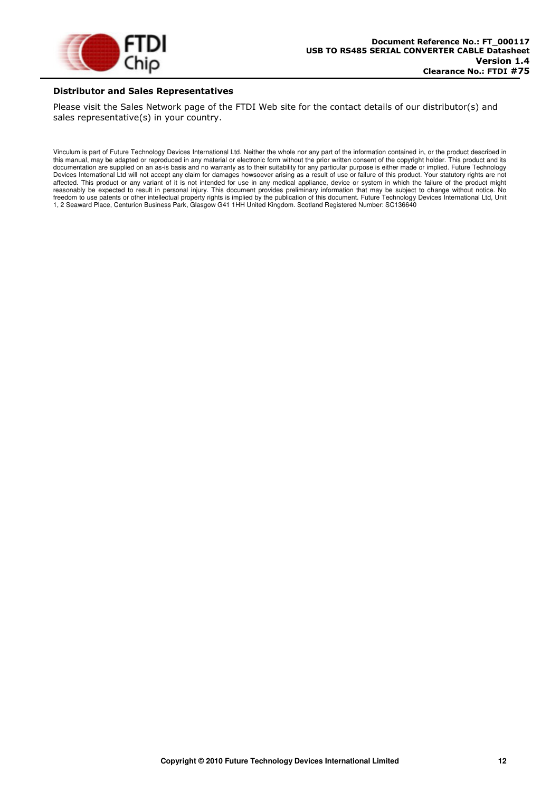![](_page_12_Picture_0.jpeg)

#### **Distributor and Sales Representatives**

Please visit the Sales Network page of the FTDI Web site for the contact details of our distributor(s) and sales representative(s) in your country.

Vinculum is part of Future Technology Devices International Ltd. Neither the whole nor any part of the information contained in, or the product described in this manual, may be adapted or reproduced in any material or electronic form without the prior written consent of the copyright holder. This product and its documentation are supplied on an as-is basis and no warranty as to their suitability for any particular purpose is either made or implied. Future Technology Devices International Ltd will not accept any claim for damages howsoever arising as a result of use or failure of this product. Your statutory rights are not affected. This product or any variant of it is not intended for use in any medical appliance, device or system in which the failure of the product might reasonably be expected to result in personal injury. This document provides preliminary information that may be subject to change without notice. No freedom to use patents or other intellectual property rights is implied by the publication of this document. Future Technology Devices International Ltd, Unit 1, 2 Seaward Place, Centurion Business Park, Glasgow G41 1HH United Kingdom. Scotland Registered Number: SC136640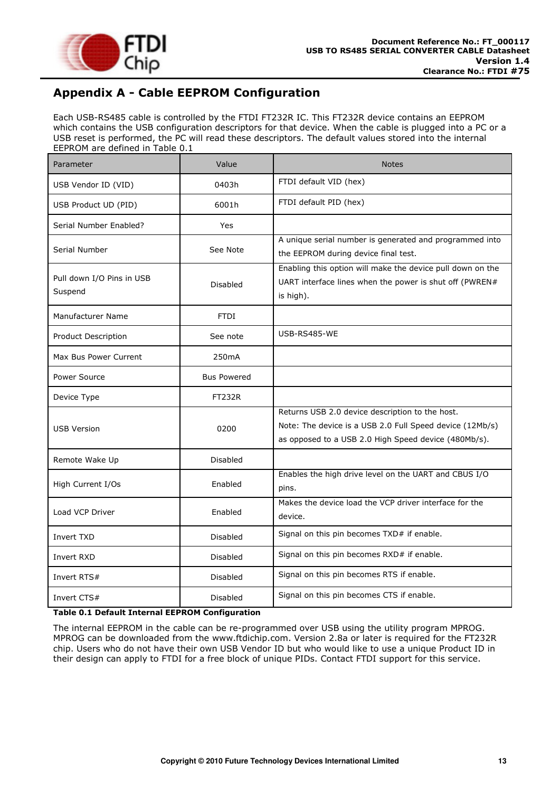![](_page_13_Picture_0.jpeg)

# <span id="page-13-0"></span>**Appendix A - Cable EEPROM Configuration**

Each USB-RS485 cable is controlled by the FTDI FT232R IC. This FT232R device contains an EEPROM which contains the USB configuration descriptors for that device. When the cable is plugged into a PC or a USB reset is performed, the PC will read these descriptors. The default values stored into the internal EEPROM are defined in [Table 0.1](#page-13-1) 

| Parameter                            | Value              | <b>Notes</b>                                                                                                                                                        |
|--------------------------------------|--------------------|---------------------------------------------------------------------------------------------------------------------------------------------------------------------|
| USB Vendor ID (VID)                  | 0403h              | FTDI default VID (hex)                                                                                                                                              |
| USB Product UD (PID)                 | 6001h              | FTDI default PID (hex)                                                                                                                                              |
| Serial Number Enabled?               | Yes                |                                                                                                                                                                     |
| Serial Number                        | See Note           | A unique serial number is generated and programmed into<br>the EEPROM during device final test.                                                                     |
| Pull down I/O Pins in USB<br>Suspend | <b>Disabled</b>    | Enabling this option will make the device pull down on the<br>UART interface lines when the power is shut off (PWREN#<br>is high).                                  |
| Manufacturer Name                    | <b>FTDI</b>        |                                                                                                                                                                     |
| Product Description                  | See note           | USB-RS485-WE                                                                                                                                                        |
| Max Bus Power Current                | 250mA              |                                                                                                                                                                     |
| Power Source                         | <b>Bus Powered</b> |                                                                                                                                                                     |
| Device Type                          | <b>FT232R</b>      |                                                                                                                                                                     |
| <b>USB Version</b>                   | 0200               | Returns USB 2.0 device description to the host.<br>Note: The device is a USB 2.0 Full Speed device (12Mb/s)<br>as opposed to a USB 2.0 High Speed device (480Mb/s). |
| Remote Wake Up                       | <b>Disabled</b>    |                                                                                                                                                                     |
| High Current I/Os                    | Enabled            | Enables the high drive level on the UART and CBUS I/O<br>pins.                                                                                                      |
| Load VCP Driver                      | Enabled            | Makes the device load the VCP driver interface for the<br>device.                                                                                                   |
| Invert TXD                           | Disabled           | Signal on this pin becomes TXD# if enable.                                                                                                                          |
| Invert RXD                           | <b>Disabled</b>    | Signal on this pin becomes RXD# if enable.                                                                                                                          |
| Invert RTS#                          | <b>Disabled</b>    | Signal on this pin becomes RTS if enable.                                                                                                                           |
| Invert CTS#                          | Disabled           | Signal on this pin becomes CTS if enable.                                                                                                                           |

#### <span id="page-13-1"></span>**Table 0.1 Default Internal EEPROM Configuration**

The internal EEPROM in the cable can be re-programmed over USB using the utility program MPROG. MPROG can be downloaded from the [www.ftdichip.com.](file:///C:/Documents%20and%20Settings/maryam.mohammed/My%20Documents/SharePoint%20Drafts/www.ftdichip.com) Version 2.8a or later is required for the FT232R chip. Users who do not have their own USB Vendor ID but who would like to use a unique Product ID in their design can apply to FTDI for a free block of unique PIDs. Contact FTDI support for this service.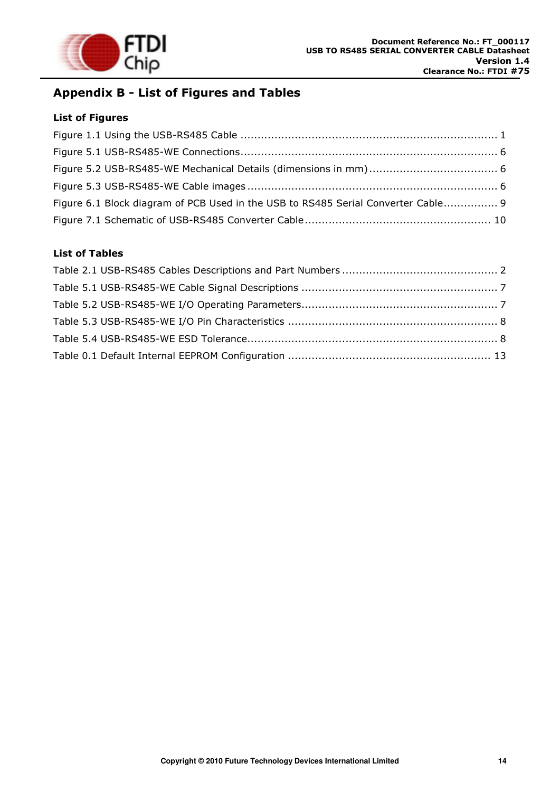![](_page_14_Picture_0.jpeg)

# <span id="page-14-0"></span>**Appendix B - List of Figures and Tables**

#### **List of Figures**

| Figure 6.1 Block diagram of PCB Used in the USB to RS485 Serial Converter Cable 9 |  |
|-----------------------------------------------------------------------------------|--|
|                                                                                   |  |

#### **List of Tables**